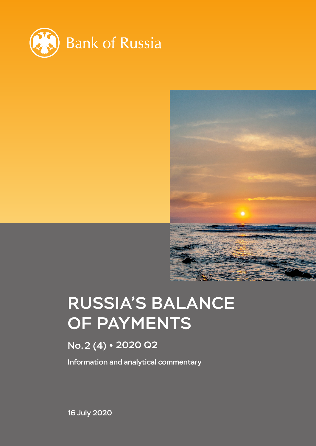



# RUSSIA'S BALANCE OF PAYMENTS

# No.2 (4) 2020 Q2

Information and analytical commentary

16 July 2020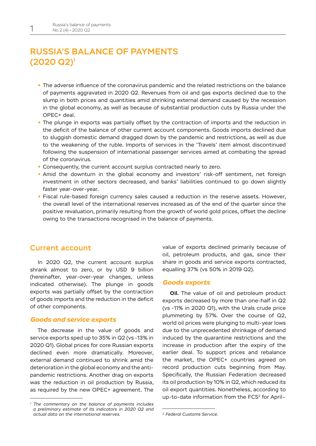# RUSSIA'S BALANCE OF PAYMENTS (2020 Q2)1

- **•** The adverse influence of the coronavirus pandemic and the related restrictions on the balance of payments aggravated in 2020 Q2. Revenues from oil and gas exports declined due to the slump in both prices and quantities amid shrinking external demand caused by the recession in the global economy, as well as because of substantial production cuts by Russia under the OPEC+ deal.
- **•** The plunge in exports was partially offset by the contraction of imports and the reduction in the deficit of the balance of other current account components. Goods imports declined due to sluggish domestic demand dragged down by the pandemic and restrictions, as well as due to the weakening of the ruble. Imports of services in the 'Travels' item almost discontinued following the suspension of international passenger services aimed at combating the spread of the coronavirus.
- **•** Consequently, the current account surplus contracted nearly to zero.
- **•** Amid the downturn in the global economy and investors' risk-off sentiment, net foreign investment in other sectors decreased, and banks' liabilities continued to go down slightly faster year-over-year.
- **•** Fiscal rule-based foreign currency sales caused a reduction in the reserve assets. However, the overall level of the international reserves increased as of the end of the quarter since the positive revaluation, primarily resulting from the growth of world gold prices, offset the decline owing to the transactions recognised in the balance of payments.

## Current account

In 2020 Q2, the current account surplus shrank almost to zero, or by USD 9 billion (hereinafter, year-over-year changes, unless indicated otherwise). The plunge in goods exports was partially offset by the contraction of goods imports and the reduction in the deficit of other components.

#### *Goods and service exports*

The decrease in the value of goods and service exports sped up to 35% in Q2 (vs -13% in 2020 Q1). Global prices for core Russian exports declined even more dramatically. Moreover, external demand continued to shrink amid the deterioration in the global economy and the antipandemic restrictions. Another drag on exports was the reduction in oil production by Russia, as required by the new OPEC+ agreement. The value of exports declined primarily because of oil, petroleum products, and gas, since their share in goods and service exports contracted, equalling 37% (vs 50% in 2019 Q2).

#### *Goods exports*

**Oil.** The value of oil and petroleum product exports decreased by more than one-half in Q2 (vs -11% in 2020 Q1), with the Urals crude price plummeting by 57%. Over the course of Q2, world oil prices were plunging to multi-year lows due to the unprecedented shrinkage of demand induced by the quarantine restrictions and the increase in production after the expiry of the earlier deal. To support prices and rebalance the market, the OPEC+ countries agreed on record production cuts beginning from May. Specifically, the Russian Federation decreased its oil production by 10% in Q2, which reduced its oil export quantities. Nonetheless, according to up-to-date information from the FCS<sup>2</sup> for April-

*<sup>1</sup> The commentary on the balance of payments includes a preliminary estimate of its indicators in 2020 Q2 and actual data on the international reserves.*

*<sup>2</sup> Federal Customs Service.*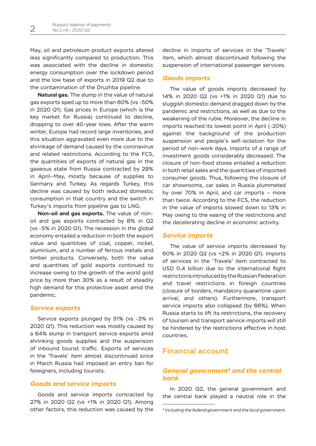May, oil and petroleum product exports altered less significantly compared to production. This was associated with the decline in domestic energy consumption over the lockdown period and the low base of exports in 2019 Q2 due to the contamination of the Druzhba pipeline.

**Natural gas.** The slump in the value of natural gas exports sped up to more than 60% (vs -50% in 2020 Q1). Gas prices in Europe (which is the key market for Russia) continued to decline, dropping to over 40-year lows. After the warm winter, Europe had record large inventories, and this situation aggravated even more due to the shrinkage of demand caused by the coronavirus and related restrictions. According to the FCS, the quantities of exports of natural gas in the gaseous state from Russia contracted by 29% in April–May, mostly because of supplies to Germany and Turkey. As regards Turkey, this decline was caused by both reduced domestic consumption in that country and the switch in Turkey's imports from pipeline gas to LNG.

**Non-oil and gas exports.** The value of nonoil and gas exports contracted by 8% in Q2 (vs -5% in 2020 Q1). The recession in the global economy entailed a reduction in both the export value and quantities of coal, copper, nickel, aluminium, and a number of ferrous metals and timber products. Conversely, both the value and quantities of gold exports continued to increase owing to the growth of the world gold price by more than 30% as a result of steadily high demand for this protective asset amid the pandemic.

#### *Service exports*

Service exports plunged by 51% (vs -3% in 2020 Q1). This reduction was mostly caused by a 64% slump in transport service exports amid shrinking goods supplies and the suspension of inbound tourist traffic. Exports of services in the 'Travels' item almost discontinued since in March Russia had imposed an entry ban for foreigners, including tourists.

#### *Goods and service imports*

Goods and service imports contracted by 27% in 2020 Q2 (vs +1% in 2020 Q1). Among other factors, this reduction was caused by the

decline in imports of services in the 'Travels' item, which almost discontinued following the suspension of international passenger services.

#### *Goods imports*

The value of goods imports decreased by 14% in 2020 Q2 (vs +1% in 2020 Q1) due to sluggish domestic demand dragged down by the pandemic and restrictions, as well as due to the weakening of the ruble. Moreover, the decline in imports reached its lowest point in April (-20%) against the background of the production suspension and people's self-isolation for the period of non-work days. Imports of a range of investment goods considerably decreased. The closure of non-food stores entailed a reduction in both retail sales and the quantities of imported consumer goods. Thus, following the closure of car showrooms, car sales in Russia plummeted by over 70% in April, and car imports – more than twice. According to the FCS, the reduction in the value of imports slowed down to 13% in May owing to the easing of the restrictions and the decelerating decline in economic activity.

#### *Service imports*

The value of service imports decreased by 60% in 2020 Q2 (vs +2% in 2020 Q1). Imports of services in the 'Travels' item contracted to USD 0.4 billion due to the international flight restrictions introduced by the Russian Federation and travel restrictions in foreign countries (closure of borders, mandatory quarantine upon arrival, and others). Furthermore, transport service imports also collapsed (by 66%). When Russia starts to lift its restrictions, the recovery of tourism and transport service imports will still be hindered by the restrictions effective in host countries.

# Financial account

### *General government3 and the central bank*

In 2020 Q2, the general government and the central bank played a neutral role in the

*<sup>3</sup> Including the federal government and the local government.*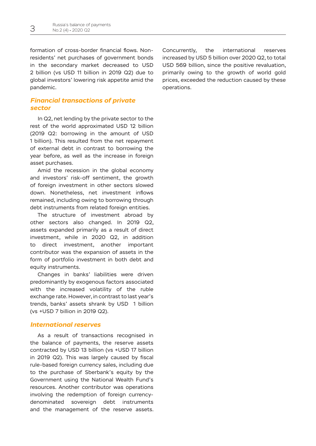formation of cross-border financial flows. Nonresidents' net purchases of government bonds in the secondary market decreased to USD 2 billion (vs USD 11 billion in 2019 Q2) due to global investors' lowering risk appetite amid the pandemic.

## *Financial transactions of private sector*

In Q2, net lending by the private sector to the rest of the world approximated USD 12 billion (2019 Q2: borrowing in the amount of USD 1 billion). This resulted from the net repayment of external debt in contrast to borrowing the year before, as well as the increase in foreign asset purchases.

Amid the recession in the global economy and investors' risk-off sentiment, the growth of foreign investment in other sectors slowed down. Nonetheless, net investment inflows remained, including owing to borrowing through debt instruments from related foreign entities.

The structure of investment abroad by other sectors also changed. In 2019 Q2, assets expanded primarily as a result of direct investment, while in 2020 Q2, in addition to direct investment, another important contributor was the expansion of assets in the form of portfolio investment in both debt and equity instruments.

Changes in banks' liabilities were driven predominantly by exogenous factors associated with the increased volatility of the ruble exchange rate. However, in contrast to last year's trends, banks' assets shrank by USD 1 billion (vs +USD 7 billion in 2019 Q2).

#### *International reserves*

As a result of transactions recognised in the balance of payments, the reserve assets contracted by USD 13 billion (vs +USD 17 billion in 2019 Q2). This was largely caused by fiscal rule-based foreign currency sales, including due to the purchase of Sberbank's equity by the Government using the National Wealth Fund's resources. Another contributor was operations involving the redemption of foreign currencydenominated sovereign debt instruments and the management of the reserve assets.

Concurrently, the international reserves increased by USD 5 billion over 2020 Q2, to total USD 569 billion, since the positive revaluation, primarily owing to the growth of world gold prices, exceeded the reduction caused by these operations.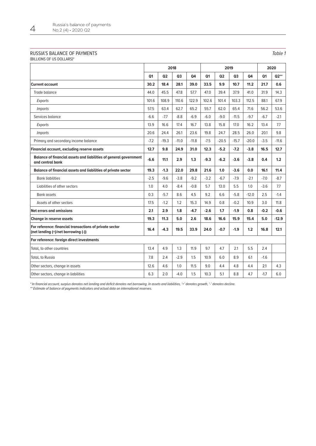#### RUSSIA'S BALANCE OF PAYMENTS

(BILLIONS OF US DOLLARS)\*

|                                                                                                | 2018           |                |         |         | 2019           |         |                |         | 2020           |         |
|------------------------------------------------------------------------------------------------|----------------|----------------|---------|---------|----------------|---------|----------------|---------|----------------|---------|
|                                                                                                | Q <sub>1</sub> | Q <sub>2</sub> | Q3      | 04      | Q <sub>1</sub> | Q2      | Q <sub>3</sub> | Q4      | Q <sub>1</sub> | Q2**    |
| <b>Current account</b>                                                                         | 30.2           | 18.4           | 28.1    | 39.0    | 33.5           | 9.9     | 10.7           | 11.2    | 21.7           | 0.6     |
| Trade balance                                                                                  | 44.0           | 45.5           | 47.8    | 57.7    | 47.0           | 39.4    | 37.9           | 41.0    | 31.9           | 14.3    |
| Exports                                                                                        | 101.6          | 108.9          | 110.6   | 122.9   | 102.6          | 101.4   | 103.3          | 112.5   | 88.1           | 67.9    |
| <i>Imports</i>                                                                                 | 57.5           | 63.4           | 62.7    | 65.2    | 55.7           | 62.0    | 65.4           | 71.6    | 56.2           | 53.6    |
| Services balance                                                                               | $-6.6$         | $-7.7$         | $-8.8$  | $-6.9$  | $-6.0$         | $-9.0$  | $-11.5$        | $-9.7$  | $-6.7$         | $-2.1$  |
| Exports                                                                                        | 13.9           | 16.6           | 17.4    | 16.7    | 13.8           | 15.8    | 17.0           | 16.2    | 13.4           | 7.7     |
| <i>Imports</i>                                                                                 | 20.6           | 24.4           | 26.1    | 23.6    | 19.8           | 24.7    | 28.5           | 26.0    | 20.1           | 9.8     |
| Primary and secondary income balance                                                           | $-7.2$         | $-19.3$        | $-11.0$ | $-11.8$ | $-7.5$         | $-20.5$ | $-15.7$        | $-20.0$ | $-3.5$         | $-11.6$ |
| Financial account, excluding reserve assets                                                    | 12.7           | 9.8            | 24.9    | 31.0    | 12.3           | $-5.2$  | $-7.2$         | $-3.8$  | 16.5           | 12.7    |
| Balance of financial assets and liabilities of general government<br>and central bank          | $-6.6$         | 11.1           | 2.9     | 1.3     | $-9.3$         | $-6.2$  | $-3.6$         | $-3.8$  | 0.4            | 1.2     |
| Balance of financial assets and liabilities of private sector                                  | 19.3           | $-1.3$         | 22.0    | 29.8    | 21.6           | 1.0     | $-3.6$         | 0.0     | 16.1           | 11.4    |
| <b>Bank liabilities</b>                                                                        | $-2.5$         | $-9.6$         | $-3.8$  | $-9.2$  | $-3.2$         | $-6.7$  | $-7.9$         | $-2.1$  | $-7.0$         | $-8.7$  |
| Liabilities of other sectors                                                                   | 1.0            | 4.0            | $-8.4$  | $-0.8$  | 5.7            | 13.0    | 5.5            | 1.0     | $-3.6$         | 7.7     |
| <b>Bank assets</b>                                                                             | 0.3            | $-5.7$         | 8.6     | 4.5     | 9.2            | 6.6     | $-5.8$         | $-12.0$ | 2.5            | $-1.4$  |
| Assets of other sectors                                                                        | 17.5           | $-1.2$         | 1.2     | 15.3    | 14.9           | 0.8     | $-0.2$         | 10.9    | 3.0            | 11.8    |
| Net errors and omissions                                                                       | 2.1            | 2.9            | 1.8     | $-4.7$  | $-2.6$         | 1.7     | $-1.9$         | 0.8     | $-0.2$         | $-0.6$  |
| <b>Change in reserve assets</b>                                                                | 19.3           | 11.3           | 5.0     | 2.6     | 18.6           | 16.6    | 15.9           | 15.4    | 5.0            | $-12.9$ |
| For reference: financial transactions of private sector<br>(net lending (+)/net borrowing (-)) | 16.4           | $-4.3$         | 19.5    | 33.9    | 24.0           | $-0.7$  | $-1.9$         | 1.2     | 16.8           | 12.1    |
| For reference: foreign direct investments                                                      |                |                |         |         |                |         |                |         |                |         |
| Total, to other countries                                                                      | 13.4           | 4.9            | 1.3     | 11.9    | 9.7            | 4.7     | 2.1            | 5.5     | 2.4            |         |
| Total, to Russia                                                                               | 7.8            | 2.4            | $-2.9$  | 1.5     | 10.9           | 6.0     | 8.9            | 6.1     | $-1.6$         |         |
| Other sectors, change in assets                                                                | 12.6           | 4.6            | 1.0     | 11.5    | 9.0            | 4.4     | 4.8            | 4.4     | 2.1            | 4.3     |
| Other sectors, change in liabilities                                                           | 6.3            | 2.0            | $-4.0$  | 1.5     | 10.3           | 5.1     | 8.8            | 4.7     | $-1.7$         | 6.0     |

\* In financial account, surplus denotes net lending and deficit denotes net borrowing. In assets and liabilities, '+' denotes growth, '-' denotes decline.

\*\* Estimate of balance of payments indicators and actual data on international reserves.

#### Table 1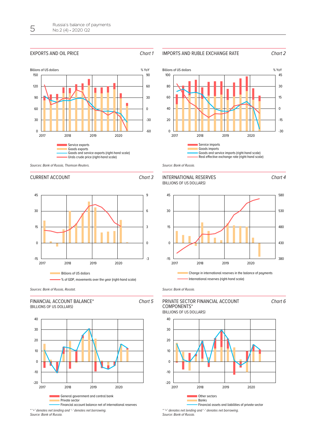#### EXPORTS AND OIL PRICE Chart 1







Chart 4

Chart 6





#### CURRENT ACCOUNT CHart 3

Chart 5





40











Source: Bank of Russia.





Source: Bank of Russia.





\* '+' denotes net lending and '-' denotes net borrowing. Source: Bank of Russia.